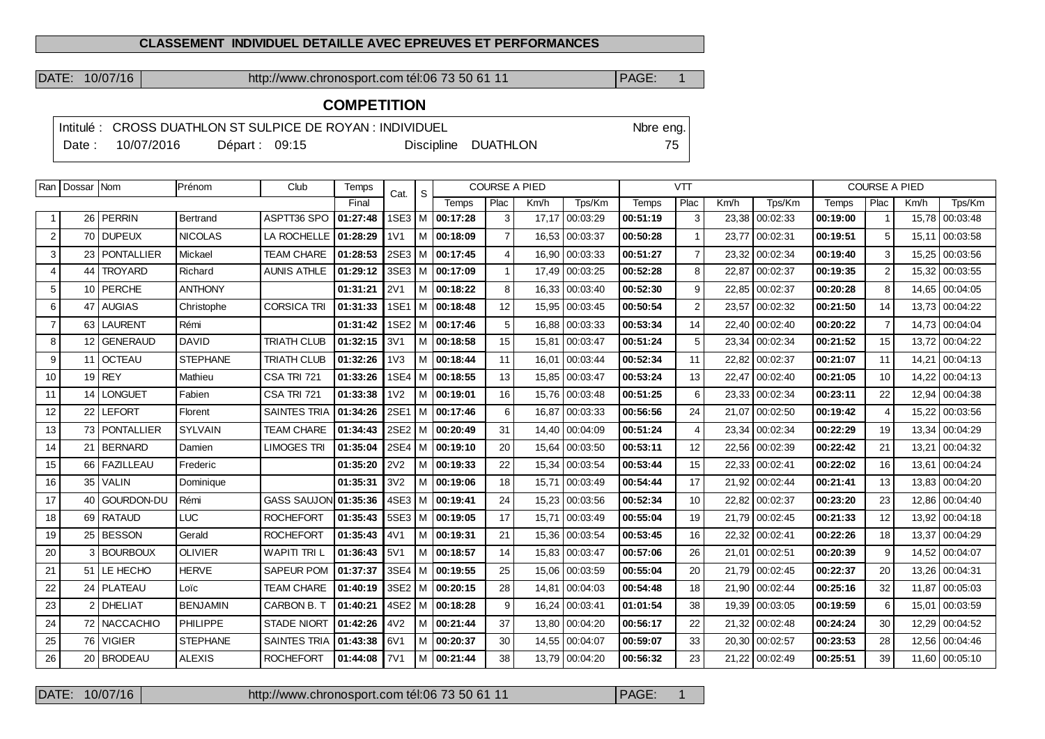#### **CLASSEMENT INDIVIDUEL DETAILLE AVEC EPREUVES ET PERFORMANCES**

DATE: 10/07/16 http://www.chronosport.com tél:06 73 50 61 11 PAGE: 1

# **COMPETITION**

|        | Intitulé : CROSS DUATHLON ST SULPICE DE ROYAN : INDIVIDUEL | Nore eng.       |  |  |                     |            |
|--------|------------------------------------------------------------|-----------------|--|--|---------------------|------------|
| Date : | 10/07/2016                                                 | Départ: $09:15$ |  |  | Discipline DUATHLON | $75 \perp$ |

| Ran            | Dossar Nom        |                   | Prénom          | Club                | Temps    |                  | <b>COURSE A PIED</b><br>S<br>Cat. |                       |                         | <b>VTT</b> |          |          |                | <b>COURSE A PIED</b> |          |          |                |       |          |
|----------------|-------------------|-------------------|-----------------|---------------------|----------|------------------|-----------------------------------|-----------------------|-------------------------|------------|----------|----------|----------------|----------------------|----------|----------|----------------|-------|----------|
|                |                   |                   |                 |                     | Final    |                  |                                   | Temps                 | Plac                    | Km/h       | Tps/Km   | Temps    | Plac           | Km/h                 | Tps/Km   | Temps    | Plac           | Km/h  | Tps/Km   |
|                | 26                | <b>PERRIN</b>     | Bertrand        | ASPTT36 SPO         | 01:27:48 | 1SE3             | l M                               | 00:17:28              | 3                       | 17,17      | 00:03:29 | 00:51:19 | 3              | 23,38                | 00:02:33 | 00:19:00 |                | 15,78 | 00:03:48 |
| $\overline{2}$ | 70                | <b>DUPEUX</b>     | <b>NICOLAS</b>  | LA ROCHELLE         | 01:28:29 | 1 <sub>V</sub> 1 |                                   | M 00:18:09            |                         | 16,53      | 00:03:37 | 00:50:28 | -1             | 23,77                | 00:02:31 | 00:19:51 | 5              | 15.11 | 00:03:58 |
| 3              | 23                | <b>PONTALLIER</b> | Mickael         | <b>TEAM CHARE</b>   | 01:28:53 |                  |                                   | 2SE3 M 00:17:45       | $\boldsymbol{\Delta}$   | 16.90      | 00:03:33 | 00:51:27 | $\overline{7}$ | 23,32                | 00:02:34 | 00:19:40 | 3              | 15,25 | 00:03:56 |
| $\overline{4}$ | 44                | <b>TROYARD</b>    | Richard         | <b>AUNIS ATHLE</b>  | 01:29:12 | 3SE3             | l M-                              | 00:17:09              | $\overline{\mathbf{1}}$ | 17,49      | 00:03:25 | 00:52:28 | 8              | 22,87                | 00:02:37 | 00:19:35 | 2              | 15.32 | 00:03:55 |
| 5              | 10                | <b>PERCHE</b>     | <b>ANTHONY</b>  |                     | 01:31:21 | <b>2V1</b>       |                                   | M 00:18:22            | 8                       | 16,33      | 00:03:40 | 00:52:30 | 9              | 22,85                | 00:02:37 | 00:20:28 | 8              | 14,65 | 00:04:05 |
| 6              |                   | 47 AUGIAS         | Christophe      | <b>CORSICA TRI</b>  | 01:31:33 | <b>1SE1</b>      |                                   | M 00:18:48            | 12                      | 15,95      | 00:03:45 | 00:50:54 | $\overline{2}$ | 23,57                | 00:02:32 | 00:21:50 | 14             | 13,73 | 00:04:22 |
| $\overline{7}$ | 63                | <b>LAURENT</b>    | Rémi            |                     | 01:31:42 | 1SE <sub>2</sub> | м                                 | 00:17:46              | 5                       | 16.88      | 00:03:33 | 00:53:34 | 14             | 22,40                | 00:02:40 | 00:20:22 | $\overline{7}$ | 14.73 | 00:04:04 |
| 8              | $12 \overline{ }$ | <b>GENERAUD</b>   | <b>DAVID</b>    | <b>TRIATH CLUB</b>  | 01:32:15 | 3V1              |                                   | M   00:18:58          | 15                      | 15,81      | 00:03:47 | 00:51:24 | 5              | 23,34                | 00:02:34 | 00:21:52 | 15             | 13,72 | 00:04:22 |
| 9              | 11 <sup>1</sup>   | <b>OCTEAU</b>     | <b>STEPHANE</b> | <b>TRIATH CLUB</b>  | 01:32:26 | 1 <sub>V</sub> 3 |                                   | M 00:18:44            | 11                      | 16,01      | 00:03:44 | 00:52:34 | 11             | 22,82                | 00:02:37 | 00:21:07 | 11             | 14,21 | 00:04:13 |
| 10             | 19                | <b>REY</b>        | Mathieu         | CSA TRI 721         | 01:33:26 | 1SE4             | м                                 | 00:18:55              | 13                      | 15.85      | 00:03:47 | 00:53:24 | 13             | 22.47                | 00:02:40 | 00:21:05 | 10             | 14,22 | 00:04:13 |
| 11             | 14                | <b>LONGUET</b>    | Fabien          | CSA TRI 721         | 01:33:38 | 1 <sub>V</sub> 2 |                                   | M   00:19:01          | 16                      | 15.76      | 00:03:48 | 00:51:25 | 6              | 23.33                | 00:02:34 | 00:23:11 | 22             | 12.94 | 00:04:38 |
| 12             | 22                | <b>LEFORT</b>     | Florent         | <b>SAINTES TRIA</b> | 01:34:26 | 2SE1             |                                   | M 00:17:46            | 6                       | 16,87      | 00:03:33 | 00:56:56 | 24             | 21,07                | 00:02:50 | 00:19:42 | $\overline{4}$ | 15,22 | 00:03:56 |
| 13             | 73                | <b>PONTALLIER</b> | <b>SYLVAIN</b>  | <b>TEAM CHARE</b>   | 01:34:43 | 2SE <sub>2</sub> | l M                               | 00:20:49              | 31                      | 14,40      | 00:04:09 | 00:51:24 | $\overline{4}$ | 23,34                | 00:02:34 | 00:22:29 | 19             | 13,34 | 00:04:29 |
| 14             |                   | 21 BERNARD        | Damien          | <b>LIMOGES TRI</b>  | 01:35:04 |                  |                                   | 2SE4   M   00:19:10   | 20                      | 15.64      | 00:03:50 | 00:53:11 | 12             | 22.56                | 00:02:39 | 00:22:42 | 21             | 13.21 | 00:04:32 |
| 15             | 66                | <b>FAZILLEAU</b>  | Frederic        |                     | 01:35:20 | 2V <sub>2</sub>  |                                   | M 00:19:33            | 22                      | 15,34      | 00:03:54 | 00:53:44 | 15             | 22,33                | 00:02:41 | 00:22:02 | 16             | 13,61 | 00:04:24 |
| 16             | 35                | <b>VALIN</b>      | Dominique       |                     | 01:35:31 | 3V <sub>2</sub>  | M                                 | 00:19:06              | 18                      | 15,71      | 00:03:49 | 00:54:44 | 17             | 21,92                | 00:02:44 | 00:21:41 | 13             | 13,83 | 00:04:20 |
| 17             | 40                | <b>GOURDON-DU</b> | Rémi            | <b>GASS SAUJON</b>  | 01:35:36 |                  |                                   | 4SE3   M   00:19:41   | 24                      | 15.23      | 00:03:56 | 00:52:34 | 10             | 22,82                | 00:02:37 | 00:23:20 | 23             | 12,86 | 00:04:40 |
| 18             | 69                | <b>RATAUD</b>     | <b>LUC</b>      | <b>ROCHEFORT</b>    | 01:35:43 |                  |                                   | $5SE3$   M   00:19:05 | 17                      | 15,71      | 00:03:49 | 00:55:04 | 19             | 21,79                | 00:02:45 | 00:21:33 | 12             | 13,92 | 00:04:18 |
| 19             | 25                | <b>BESSON</b>     | Gerald          | <b>ROCHEFORT</b>    | 01:35:43 | 4V1              |                                   | M 00:19:31            | 21                      | 15,36      | 00:03:54 | 00:53:45 | 16             | 22,32                | 00:02:41 | 00:22:26 | 18             | 13,37 | 00:04:29 |
| 20             | 3                 | <b>BOURBOUX</b>   | <b>OLIVIER</b>  | <b>WAPITI TRI L</b> | 01:36:43 | 5V1              |                                   | M 00:18:57            | 14                      | 15.83      | 00:03:47 | 00:57:06 | 26             | 21.01                | 00:02:51 | 00:20:39 | 9              | 14,52 | 00:04:07 |
| 21             | 51 <sup>1</sup>   | LE HECHO          | <b>HERVE</b>    | <b>SAPEUR POM</b>   | 01:37:37 | 3SE4             | l M                               | 100:19:55             | 25                      | 15.06      | 00:03:59 | 00:55:04 | 20             | 21.79                | 00:02:45 | 00:22:37 | 20             | 13,26 | 00:04:31 |
| 22             | 24                | <b>PLATEAU</b>    | Loïc            | <b>TEAM CHARE</b>   | 01:40:19 | 3SE2             | l M                               | 00:20:15              | 28                      | 14.81      | 00:04:03 | 00:54:48 | 18             | 21.90                | 00:02:44 | 00:25:16 | 32             | 11.87 | 00:05:03 |
| 23             | 2                 | <b>DHELIAT</b>    | <b>BENJAMIN</b> | CARBON B. T         | 01:40:21 | 4SE2             |                                   | M 00:18:28            | 9                       | 16,24      | 00:03:41 | 01:01:54 | 38             | 19,39                | 00:03:05 | 00:19:59 | 6              | 15.01 | 00:03:59 |
| 24             |                   | 72 NACCACHIO      | <b>PHILIPPE</b> | <b>STADE NIORT</b>  | 01:42:26 | 4V <sub>2</sub>  |                                   | M 00:21:44            | 37                      | 13.80      | 00:04:20 | 00:56:17 | 22             | 21,32                | 00:02:48 | 00:24:24 | 30             | 12,29 | 00:04:52 |
| 25             | 76                | <b>VIGIER</b>     | <b>STEPHANE</b> | <b>SAINTES TRIA</b> | 01:43:38 | 6V1              |                                   | M   00:20:37          | 30                      | 14.55      | 00:04:07 | 00:59:07 | 33             | 20.30                | 00:02:57 | 00:23:53 | 28             | 12.56 | 00:04:46 |
| 26             | 20                | <b>BRODEAU</b>    | <b>ALEXIS</b>   | <b>ROCHEFORT</b>    | 01:44:08 | 7V1              |                                   | M   00:21:44          | 38                      | 13,79      | 00:04:20 | 00:56:32 | 23             | 21,22                | 00:02:49 | 00:25:51 | 39             | 11,60 | 00:05:10 |

DATE: 10/07/16 http://www.chronosport.com tél:06 73 50 61 11 PAGE: 1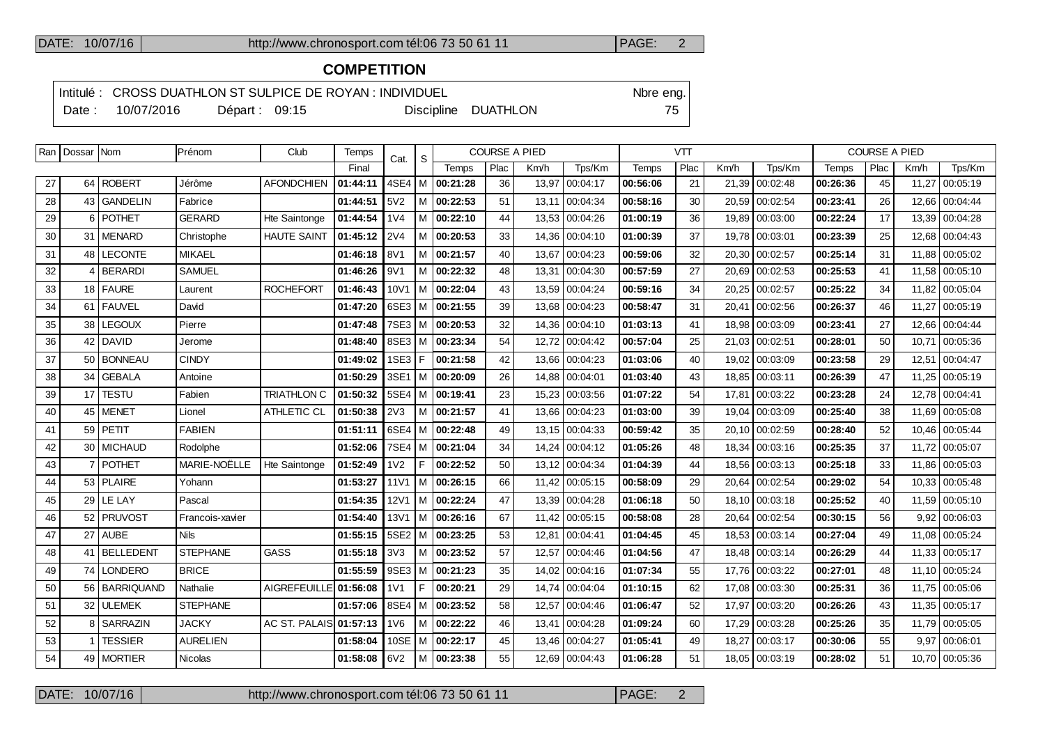## DATE: 10/07/16 http://www.chronosport.com tél:06 73 50 61 11 PAGE: 2

# **COMPETITION**

Intitulé : CROSS DUATHLON ST SULPICE DE ROYAN : INDIVIDUEL Note that the eng. Date : 10/07/2016 Départ : 09:15 Discipline DUATHLON 75

| 27 |                 |                   |                 |                      |          | Cat.             |       | <b>COURSE A PIED</b> |      |       |                | <b>VTT</b> |      |       |                |          |      | <b>COURSE A PIED</b> |                 |
|----|-----------------|-------------------|-----------------|----------------------|----------|------------------|-------|----------------------|------|-------|----------------|------------|------|-------|----------------|----------|------|----------------------|-----------------|
|    |                 |                   |                 |                      | Final    |                  | S     | Temps                | Plac | Km/h  | Tps/Km         | Temps      | Plac | Km/h  | Tps/Km         | Temps    | Plac | Km/h                 | Tps/Km          |
|    | 64              | ROBERT            | Jérôme          | <b>AFONDCHIEN</b>    | 01:44:11 | 4SE4 M           |       | 00:21:28             | 36   | 13,97 | 00:04:17       | 00:56:06   | 21   |       | 21,39 00:02:48 | 00:26:36 | 45   | 11,27                | 00:05:19        |
| 28 | 43              | <b>GANDELIN</b>   | Fabrice         |                      | 01:44:51 | 5V2              | l M   | 00:22:53             | 51   |       | 13.11 00:04:34 | 00:58:16   | 30   |       | 20,59 00:02:54 | 00:23:41 | 26   |                      | 12.66 00:04:44  |
| 29 | 6               | <b>POTHET</b>     | <b>GERARD</b>   | Hte Saintonge        | 01:44:54 | 1 <sub>V</sub> 4 | M     | 00:22:10             | 44   | 13,53 | 00:04:26       | 01:00:19   | 36   | 19,89 | 00:03:00       | 00:22:24 | 17   |                      | 13,39 00:04:28  |
| 30 |                 | 31   MENARD       | Christophe      | <b>HAUTE SAINT</b>   | 01:45:12 | <b>2V4</b>       | M     | 00:20:53             | 33   | 14,36 | 00:04:10       | 01:00:39   | 37   | 19,78 | 00:03:01       | 00:23:39 | 25   |                      | 12,68 00:04:43  |
| 31 | 48              | <b>LECONTE</b>    | <b>MIKAEL</b>   |                      | 01:46:18 | 8V1              | M     | 00:21:57             | 40   | 13,67 | 00:04:23       | 00:59:06   | 32   | 20,30 | 00:02:57       | 00:25:14 | 31   |                      | 11,88 00:05:02  |
| 32 | $\overline{4}$  | <b>BERARDI</b>    | <b>SAMUEL</b>   |                      | 01:46:26 | 9V1              | l M I | 00:22:32             | 48   | 13.31 | 00:04:30       | 00:57:59   | 27   |       | 20,69 00:02:53 | 00:25:53 | 41   |                      | 11,58 00:05:10  |
| 33 | 18 <sup>1</sup> | <b>FAURE</b>      | Laurent         | <b>ROCHEFORT</b>     | 01:46:43 | 10V1             | M     | 00:22:04             | 43   | 13,59 | 00:04:24       | 00:59:16   | 34   | 20,25 | 00:02:57       | 00:25:22 | 34   | 11,82                | 00:05:04        |
| 34 |                 | 61   FAUVEL       | David           |                      | 01:47:20 | 6SE3 M           |       | 00:21:55             | 39   | 13,68 | 00:04:23       | 00:58:47   | 31   | 20,41 | 00:02:56       | 00:26:37 | 46   | 11,27                | 00:05:19        |
| 35 | 38              | <b>LEGOUX</b>     | Pierre          |                      | 01:47:48 | $7SE3$ M         |       | 00:20:53             | 32   | 14,36 | 00:04:10       | 01:03:13   | 41   | 18,98 | 00:03:09       | 00:23:41 | 27   | 12,66                | 00:04:44        |
| 36 | 42              | DAVID             | Jerome          |                      | 01:48:40 | 8SE3   M         |       | 00:23:34             | 54   | 12,72 | 00:04:42       | 00:57:04   | 25   | 21,03 | 00:02:51       | 00:28:01 | 50   | 10,71                | 00:05:36        |
| 37 | 50              | <b>BONNEAU</b>    | <b>CINDY</b>    |                      | 01:49:02 | 1SE3 F           |       | 00:21:58             | 42   | 13.66 | 00:04:23       | 01:03:06   | 40   | 19.02 | 00:03:09       | 00:23:58 | 29   | 12,51                | 00:04:47        |
| 38 | 34              | <b>GEBALA</b>     | Antoine         |                      | 01:50:29 | $3SE1$ M         |       | 00:20:09             | 26   | 14,88 | 00:04:01       | 01:03:40   | 43   | 18,85 | 00:03:11       | 00:26:39 | 47   | 11,25                | 00:05:19        |
| 39 | 17              | <b>TESTU</b>      | Fabien          | <b>TRIATHLON C</b>   | 01:50:32 | $5SE4$ M         |       | 00:19:41             | 23   | 15,23 | 00:03:56       | 01:07:22   | 54   | 17,81 | 00:03:22       | 00:23:28 | 24   | 12,78                | 00:04:41        |
| 40 | 45              | MENET             | Lionel          | ATHLETIC CL          | 01:50:38 | 2V3              | M     | 00:21:57             | 41   | 13,66 | 00:04:23       | 01:03:00   | 39   | 19,04 | 00:03:09       | 00:25:40 | 38   | 11,69                | 00:05:08        |
| 41 | 59              | PETIT             | <b>FABIEN</b>   |                      | 01:51:11 | 6SE4 M           |       | 00:22:48             | 49   | 13.15 | 00:04:33       | 00:59:42   | 35   | 20.10 | 00:02:59       | 00:28:40 | 52   | 10.46                | 00:05:44        |
| 42 |                 | 30   MICHAUD      | Rodolphe        |                      | 01:52:06 | 7SE4   M         |       | 00:21:04             | 34   | 14.24 | 00:04:12       | 01:05:26   | 48   | 18.34 | 00:03:16       | 00:25:35 | 37   |                      | 11,72 00:05:07  |
| 43 | 7               | <b>POTHET</b>     | MARIE-NOËLLE    | Hte Saintonge        | 01:52:49 | 1 <sub>V</sub> 2 | F.    | 00:22:52             | 50   | 13,12 | 00:04:34       | 01:04:39   | 44   | 18,56 | 00:03:13       | 00:25:18 | 33   | 11,86                | 00:05:03        |
| 44 |                 | 53 PLAIRE         | Yohann          |                      | 01:53:27 | 11 <sub>V1</sub> | l M   | 00:26:15             | 66   |       | 11,42 00:05:15 | 00:58:09   | 29   |       | 20,64 00:02:54 | 00:29:02 | 54   |                      | 10,33 00:05:48  |
| 45 | 29              | LE LAY            | Pascal          |                      | 01:54:35 | <b>12V1</b>      | M     | 00:22:24             | 47   | 13,39 | 00:04:28       | 01:06:18   | 50   | 18,10 | 00:03:18       | 00:25:52 | 40   | 11,59                | 00:05:10        |
| 46 |                 | 52 PRUVOST        | Francois-xavier |                      | 01:54:40 | <b>13V1</b>      | l M I | 00:26:16             | 67   |       | 11.42 00:05:15 | 00:58:08   | 28   |       | 20.64 00:02:54 | 00:30:15 | 56   |                      | 9,92   00:06:03 |
| 47 | 27              | <b>AUBE</b>       | <b>Nils</b>     |                      | 01:55:15 | 5SE2             | l M   | 00:23:25             | 53   | 12,81 | 00:04:41       | 01:04:45   | 45   | 18,53 | 00:03:14       | 00:27:04 | 49   | 11,08                | 00:05:24        |
| 48 | 41              | BELLEDENT         | <b>STEPHANE</b> | <b>GASS</b>          | 01:55:18 | 3V3              | M     | 00:23:52             | 57   | 12,57 | 00:04:46       | 01:04:56   | 47   |       | 18.48 00:03:14 | 00:26:29 | 44   |                      | 11,33 00:05:17  |
| 49 | 74              | <b>LONDERO</b>    | <b>BRICE</b>    |                      | 01:55:59 | 9SE3 M           |       | 00:21:23             | 35   | 14,02 | 00:04:16       | 01:07:34   | 55   | 17,76 | 00:03:22       | 00:27:01 | 48   | 11,10                | 00:05:24        |
| 50 | 56              | <b>BARRIQUAND</b> | Nathalie        | <b>AIGREFEUILLE</b>  | 01:56:08 | 1 <sub>V</sub> 1 | F.    | 00:20:21             | 29   | 14.74 | 00:04:04       | 01:10:15   | 62   | 17.08 | 00:03:30       | 00:25:31 | 36   |                      | 11,75 00:05:06  |
| 51 | 32              | <b>ULEMEK</b>     | <b>STEPHANE</b> |                      | 01:57:06 | 8SE4   M         |       | 00:23:52             | 58   | 12,57 | 00:04:46       | 01:06:47   | 52   | 17,97 | 00:03:20       | 00:26:26 | 43   |                      | 11,35 00:05:17  |
| 52 | 8               | <b>SARRAZIN</b>   | <b>JACKY</b>    | <b>AC ST. PALAIS</b> | 01:57:13 | 1 <sub>V</sub> 6 | M     | 00:22:22             | 46   | 13.41 | 00:04:28       | 01:09:24   | 60   | 17,29 | 00:03:28       | 00:25:26 | 35   |                      | 11,79 00:05:05  |
| 53 | $\overline{1}$  | <b>TESSIER</b>    | <b>AURELIEN</b> |                      | 01:58:04 | $10SE$ $\vert$ M |       | 00:22:17             | 45   | 13,46 | 00:04:27       | 01:05:41   | 49   | 18,27 | 00:03:17       | 00:30:06 | 55   | 9,97                 | 00:06:01        |
| 54 | 49              | <b>MORTIER</b>    | Nicolas         |                      | 01:58:08 | 6V2              | M     | 00:23:38             | 55   |       | 12,69 00:04:43 | 01:06:28   | 51   |       | 18,05 00:03:19 | 00:28:02 | 51   |                      | 10,70 00:05:36  |

DATE: 10/07/16 http://www.chronosport.com tél:06 73 50 61 11 PAGE: 2